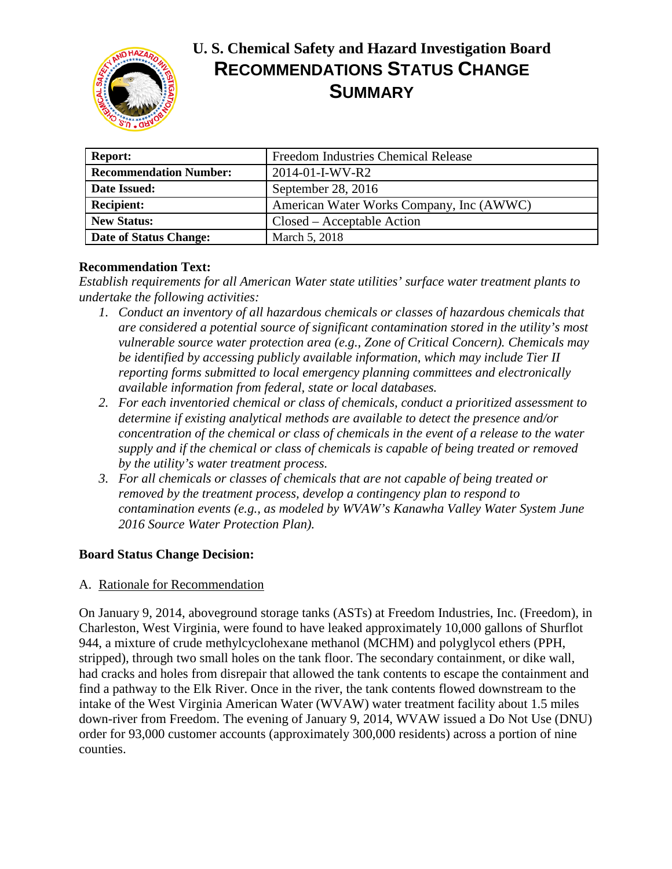

# **U. S. Chemical Safety and Hazard Investigation Board RECOMMENDATIONS STATUS CHANGE SUMMARY**

| <b>Report:</b>                | <b>Freedom Industries Chemical Release</b> |
|-------------------------------|--------------------------------------------|
| <b>Recommendation Number:</b> | $2014 - 01 - I-WV - R2$                    |
| Date Issued:                  | September 28, 2016                         |
| <b>Recipient:</b>             | American Water Works Company, Inc (AWWC)   |
| <b>New Status:</b>            | Closed – Acceptable Action                 |
| Date of Status Change:        | March 5, 2018                              |

## **Recommendation Text:**

*Establish requirements for all American Water state utilities' surface water treatment plants to undertake the following activities:*

- *1. Conduct an inventory of all hazardous chemicals or classes of hazardous chemicals that are considered a potential source of significant contamination stored in the utility's most vulnerable source water protection area (e.g., Zone of Critical Concern). Chemicals may be identified by accessing publicly available information, which may include Tier II reporting forms submitted to local emergency planning committees and electronically available information from federal, state or local databases.*
- *2. For each inventoried chemical or class of chemicals, conduct a prioritized assessment to determine if existing analytical methods are available to detect the presence and/or concentration of the chemical or class of chemicals in the event of a release to the water supply and if the chemical or class of chemicals is capable of being treated or removed by the utility's water treatment process.*
- *3. For all chemicals or classes of chemicals that are not capable of being treated or removed by the treatment process, develop a contingency plan to respond to contamination events (e.g., as modeled by WVAW's Kanawha Valley Water System June 2016 Source Water Protection Plan).*

# **Board Status Change Decision:**

#### A. Rationale for Recommendation

On January 9, 2014, aboveground storage tanks (ASTs) at Freedom Industries, Inc. (Freedom), in Charleston, West Virginia, were found to have leaked approximately 10,000 gallons of Shurflot 944, a mixture of crude methylcyclohexane methanol (MCHM) and polyglycol ethers (PPH, stripped), through two small holes on the tank floor. The secondary containment, or dike wall, had cracks and holes from disrepair that allowed the tank contents to escape the containment and find a pathway to the Elk River. Once in the river, the tank contents flowed downstream to the intake of the West Virginia American Water (WVAW) water treatment facility about 1.5 miles down-river from Freedom. The evening of January 9, 2014, WVAW issued a Do Not Use (DNU) order for 93,000 customer accounts (approximately 300,000 residents) across a portion of nine counties.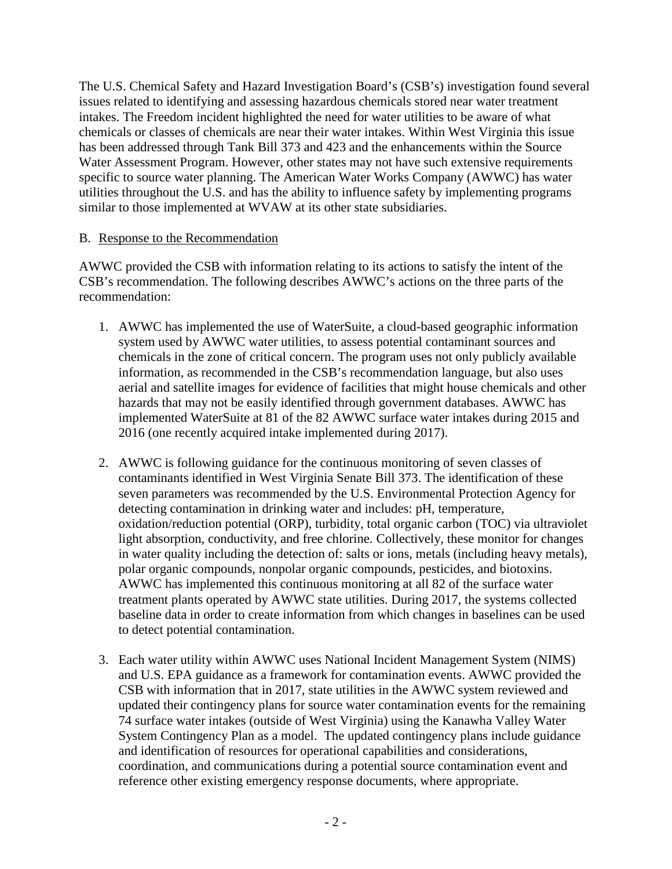The U.S. Chemical Safety and Hazard Investigation Board's (CSB's) investigation found several issues related to identifying and assessing hazardous chemicals stored near water treatment intakes. The Freedom incident highlighted the need for water utilities to be aware of what chemicals or classes of chemicals are near their water intakes. Within West Virginia this issue has been addressed through Tank Bill 373 and 423 and the enhancements within the Source Water Assessment Program. However, other states may not have such extensive requirements specific to source water planning. The American Water Works Company (AWWC) has water utilities throughout the U.S. and has the ability to influence safety by implementing programs similar to those implemented at WVAW at its other state subsidiaries.

#### B. Response to the Recommendation

AWWC provided the CSB with information relating to its actions to satisfy the intent of the CSB's recommendation. The following describes AWWC's actions on the three parts of the recommendation:

- 1. AWWC has implemented the use of WaterSuite, a cloud-based geographic information system used by AWWC water utilities, to assess potential contaminant sources and chemicals in the zone of critical concern. The program uses not only publicly available information, as recommended in the CSB's recommendation language, but also uses aerial and satellite images for evidence of facilities that might house chemicals and other hazards that may not be easily identified through government databases. AWWC has implemented WaterSuite at 81 of the 82 AWWC surface water intakes during 2015 and 2016 (one recently acquired intake implemented during 2017).
- 2. AWWC is following guidance for the continuous monitoring of seven classes of contaminants identified in West Virginia Senate Bill 373. The identification of these seven parameters was recommended by the U.S. Environmental Protection Agency for detecting contamination in drinking water and includes: pH, temperature, oxidation/reduction potential (ORP), turbidity, total organic carbon (TOC) via ultraviolet light absorption, conductivity, and free chlorine. Collectively, these monitor for changes in water quality including the detection of: salts or ions, metals (including heavy metals), polar organic compounds, nonpolar organic compounds, pesticides, and biotoxins. AWWC has implemented this continuous monitoring at all 82 of the surface water treatment plants operated by AWWC state utilities. During 2017, the systems collected baseline data in order to create information from which changes in baselines can be used to detect potential contamination.
- 3. Each water utility within AWWC uses National Incident Management System (NIMS) and U.S. EPA guidance as a framework for contamination events. AWWC provided the CSB with information that in 2017, state utilities in the AWWC system reviewed and updated their contingency plans for source water contamination events for the remaining 74 surface water intakes (outside of West Virginia) using the Kanawha Valley Water System Contingency Plan as a model. The updated contingency plans include guidance and identification of resources for operational capabilities and considerations, coordination, and communications during a potential source contamination event and reference other existing emergency response documents, where appropriate.